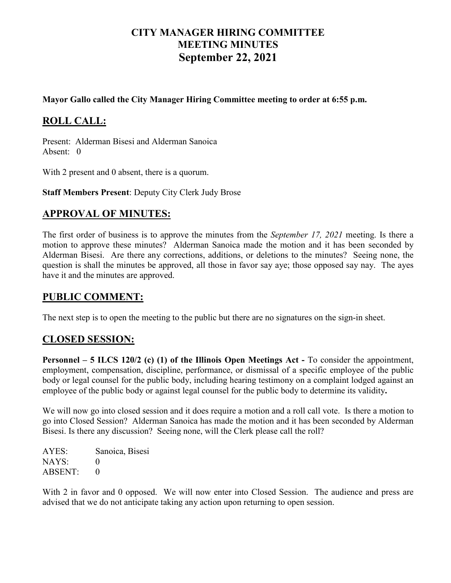# **CITY MANAGER HIRING COMMITTEE MEETING MINUTES September 22, 2021**

#### **Mayor Gallo called the City Manager Hiring Committee meeting to order at 6:55 p.m.**

# **ROLL CALL:**

Present: Alderman Bisesi and Alderman Sanoica Absent: 0

With 2 present and 0 absent, there is a quorum.

**Staff Members Present**: Deputy City Clerk Judy Brose

## **APPROVAL OF MINUTES:**

The first order of business is to approve the minutes from the *September 17, 2021* meeting. Is there a motion to approve these minutes? Alderman Sanoica made the motion and it has been seconded by Alderman Bisesi. Are there any corrections, additions, or deletions to the minutes? Seeing none, the question is shall the minutes be approved, all those in favor say aye; those opposed say nay. The ayes have it and the minutes are approved.

## **PUBLIC COMMENT:**

The next step is to open the meeting to the public but there are no signatures on the sign-in sheet.

## **CLOSED SESSION:**

**Personnel – 5 ILCS 120/2 (c) (1) of the Illinois Open Meetings Act -** To consider the appointment, employment, compensation, discipline, performance, or dismissal of a specific employee of the public body or legal counsel for the public body, including hearing testimony on a complaint lodged against an employee of the public body or against legal counsel for the public body to determine its validity**.**

We will now go into closed session and it does require a motion and a roll call vote. Is there a motion to go into Closed Session? Alderman Sanoica has made the motion and it has been seconded by Alderman Bisesi. Is there any discussion? Seeing none, will the Clerk please call the roll?

AYES: Sanoica, Bisesi  $NAYS: 0$ ABSENT: 0

With 2 in favor and 0 opposed. We will now enter into Closed Session. The audience and press are advised that we do not anticipate taking any action upon returning to open session.